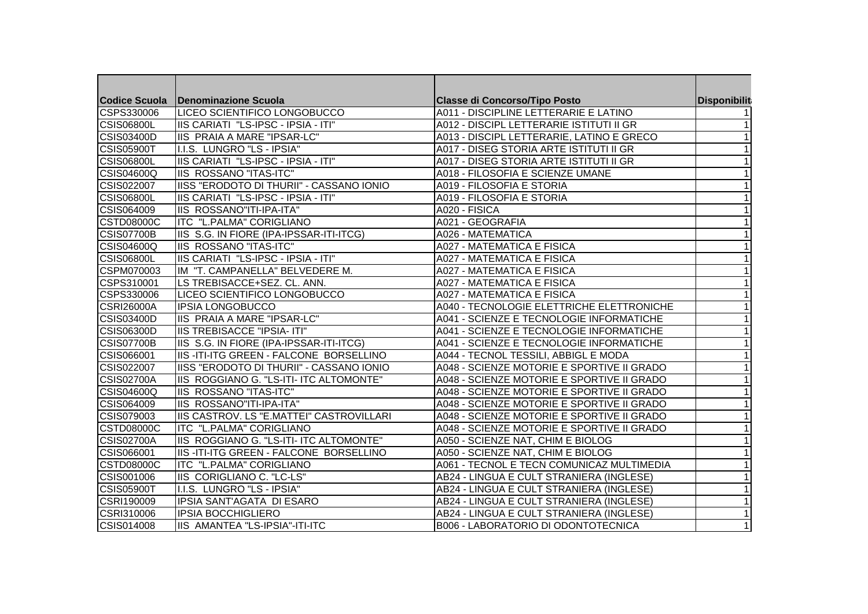|                   | Codice Scuola   Denominazione Scuola          | <b>Classe di Concorso/Tipo Posto</b>       | Disponibilit |
|-------------------|-----------------------------------------------|--------------------------------------------|--------------|
| CSPS330006        | LICEO SCIENTIFICO LONGOBUCCO                  | A011 - DISCIPLINE LETTERARIE E LATINO      |              |
| <b>CSIS06800L</b> | IIS CARIATI "LS-IPSC - IPSIA - ITI"           | A012 - DISCIPL LETTERARIE ISTITUTI II GR   |              |
| <b>CSIS03400D</b> | <b>IIS PRAIA A MARE "IPSAR-LC"</b>            | A013 - DISCIPL LETTERARIE, LATINO E GRECO  |              |
| <b>CSIS05900T</b> | I.I.S. LUNGRO "LS - IPSIA"                    | A017 - DISEG STORIA ARTE ISTITUTI II GR    |              |
| <b>CSIS06800L</b> | IIS CARIATI "LS-IPSC - IPSIA - ITI"           | A017 - DISEG STORIA ARTE ISTITUTI II GR    |              |
| <b>CSIS04600Q</b> | <b>IIS ROSSANO "ITAS-ITC"</b>                 | A018 - FILOSOFIA E SCIENZE UMANE           |              |
| CSIS022007        | IISS "ERODOTO DI THURII" - CASSANO IONIO      | A019 - FILOSOFIA E STORIA                  |              |
| <b>CSIS06800L</b> | IIS CARIATI "LS-IPSC - IPSIA - ITI"           | IA019 - FILOSOFIA E STORIA                 |              |
| CSIS064009        | <b>IIS ROSSANO"ITI-IPA-ITA"</b>               | A020 - FISICA                              |              |
| <b>CSTD08000C</b> | <b>ITC "L.PALMA" CORIGLIANO</b>               | A021 - GEOGRAFIA                           |              |
| <b>CSIS07700B</b> | IIS S.G. IN FIORE (IPA-IPSSAR-ITI-ITCG)       | A026 - MATEMATICA                          |              |
| CSIS04600Q        | <b>IIS ROSSANO "ITAS-ITC"</b>                 | <b>A027 - MATEMATICA E FISICA</b>          |              |
| <b>CSIS06800L</b> | IIS CARIATI "LS-IPSC - IPSIA - ITI"           | A027 - MATEMATICA E FISICA                 |              |
| CSPM070003        | IM "T. CAMPANELLA" BELVEDERE M.               | <b>A027 - MATEMATICA E FISICA</b>          |              |
| CSPS310001        | LS TREBISACCE+SEZ. CL. ANN.                   | <b>A027 - MATEMATICA E FISICA</b>          |              |
| CSPS330006        | LICEO SCIENTIFICO LONGOBUCCO                  | <b>A027 - MATEMATICA E FISICA</b>          |              |
| <b>CSRI26000A</b> | <b>IPSIA LONGOBUCCO</b>                       | A040 - TECNOLOGIE ELETTRICHE ELETTRONICHE  |              |
| <b>CSIS03400D</b> | <b>IIS PRAIA A MARE "IPSAR-LC"</b>            | A041 - SCIENZE E TECNOLOGIE INFORMATICHE   |              |
| <b>CSIS06300D</b> | <b>IIS TREBISACCE "IPSIA- ITI"</b>            | A041 - SCIENZE E TECNOLOGIE INFORMATICHE   |              |
| CSIS07700B        | IIS S.G. IN FIORE (IPA-IPSSAR-ITI-ITCG)       | A041 - SCIENZE E TECNOLOGIE INFORMATICHE   |              |
| CSIS066001        | IIS-ITI-ITG GREEN - FALCONE BORSELLINO        | A044 - TECNOL TESSILI, ABBIGL E MODA       |              |
| CSIS022007        | IIISS "ERODOTO DI THURII" - CASSANO IONIO     | A048 - SCIENZE MOTORIE E SPORTIVE II GRADO |              |
| CSIS02700A        | IIS ROGGIANO G. "LS-ITI- ITC ALTOMONTE"       | A048 - SCIENZE MOTORIE E SPORTIVE II GRADO |              |
| <b>CSIS04600Q</b> | <b>IIS ROSSANO "ITAS-ITC"</b>                 | A048 - SCIENZE MOTORIE E SPORTIVE II GRADO |              |
| CSIS064009        | <b>IIS ROSSANO"ITI-IPA-ITA"</b>               | A048 - SCIENZE MOTORIE E SPORTIVE II GRADO |              |
| CSIS079003        | IIS CASTROV. LS "E.MATTEI" CASTROVILLARI      | A048 - SCIENZE MOTORIE E SPORTIVE II GRADO |              |
| <b>CSTD08000C</b> | ITC "L.PALMA" CORIGLIANO                      | A048 - SCIENZE MOTORIE E SPORTIVE II GRADO |              |
| <b>CSIS02700A</b> | IIS ROGGIANO G. "LS-ITI- ITC ALTOMONTE"       | A050 - SCIENZE NAT, CHIM E BIOLOG          |              |
| CSIS066001        | <b>IIS-ITI-ITG GREEN - FALCONE BORSELLINO</b> | A050 - SCIENZE NAT, CHIM E BIOLOG          |              |
| <b>CSTD08000C</b> | ITC "L.PALMA" CORIGLIANO                      | A061 - TECNOL E TECN COMUNICAZ MULTIMEDIA  |              |
| CSIS001006        | IIS CORIGLIANO C. "LC-LS"                     | AB24 - LINGUA E CULT STRANIERA (INGLESE)   |              |
| CSIS05900T        | II.I.S. LUNGRO "LS - IPSIA"                   | AB24 - LINGUA E CULT STRANIERA (INGLESE)   |              |
| CSRI190009        | <b>IIPSIA SANT'AGATA DI ESARO</b>             | AB24 - LINGUA E CULT STRANIERA (INGLESE)   |              |
| CSRI310006        | <b>IPSIA BOCCHIGLIERO</b>                     | AB24 - LINGUA E CULT STRANIERA (INGLESE)   |              |
| CSIS014008        | IIS AMANTEA "LS-IPSIA"-ITI-ITC                | <b>B006 - LABORATORIO DI ODONTOTECNICA</b> |              |